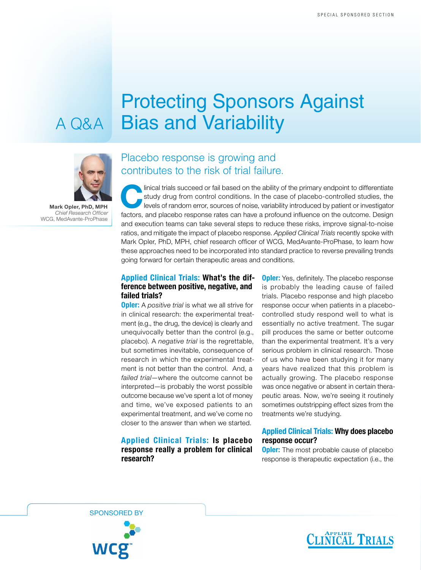# Protecting Sponsors Against A Q&A Bias and Variability



Mark Opler, PhD, MPH *Chief Research Officer* WCG, MedAvante-ProPhase

## Placebo response is growing and contributes to the risk of trial failure.

linical trials succeed or fail based on the ability of the primary endpoint to differentiate<br>
study drug from control conditions. In the case of placebo-controlled studies, the<br>
levels of random error, sources of noise, va study drug from control conditions. In the case of placebo-controlled studies, the factors, and placebo response rates can have a profound influence on the outcome. Design and execution teams can take several steps to reduce these risks, improve signal-to-noise ratios, and mitigate the impact of placebo response. *Applied Clinical Trials* recently spoke with Mark Opler, PhD, MPH, chief research officer of WCG, MedAvante-ProPhase, to learn how these approaches need to be incorporated into standard practice to reverse prevailing trends going forward for certain therapeutic areas and conditions.

#### Applied Clinical Trials: What's the difference between positive, negative, and failed trials?

**Opler:** A *positive trial* is what we all strive for in clinical research: the experimental treatment (e.g., the drug, the device) is clearly and unequivocally better than the control (e.g., placebo). A *negative trial* is the regrettable, but sometimes inevitable, consequence of research in which the experimental treatment is not better than the control. And, a *failed trial*—where the outcome cannot be interpreted—is probably the worst possible outcome because we've spent a lot of money and time, we've exposed patients to an experimental treatment, and we've come no closer to the answer than when we started.

#### Applied Clinical Trials: Is placebo response really a problem for clinical research?

**Opler:** Yes, definitely. The placebo response is probably the leading cause of failed trials. Placebo response and high placebo response occur when patients in a placebocontrolled study respond well to what is essentially no active treatment. The sugar pill produces the same or better outcome than the experimental treatment. It's a very serious problem in clinical research. Those of us who have been studying it for many years have realized that this problem is actually growing. The placebo response was once negative or absent in certain therapeutic areas. Now, we're seeing it routinely sometimes outstripping effect sizes from the treatments we're studying.

### Applied Clinical Trials: Why does placebo response occur?

**Opler:** The most probable cause of placebo response is therapeutic expectation (i.e., the